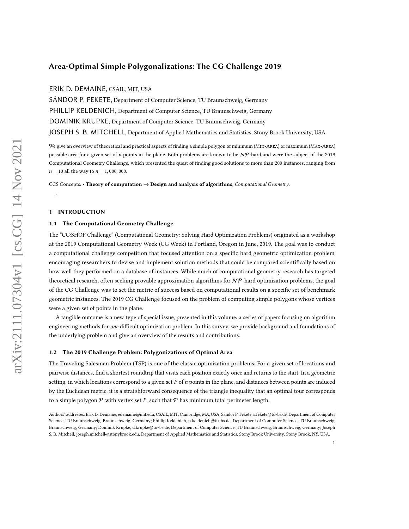# Area-Optimal Simple Polygonalizations: The CG Challenge 2019

ERIK D. DEMAINE, CSAIL, MIT, USA

SÁNDOR P. FEKETE, Department of Computer Science, TU Braunschweig, Germany PHILLIP KELDENICH, Department of Computer Science, TU Braunschweig, Germany DOMINIK KRUPKE, Department of Computer Science, TU Braunschweig, Germany JOSEPH S. B. MITCHELL, Department of Applied Mathematics and Statistics, Stony Brook University, USA

We give an overview of theoretical and practical aspects of finding a simple polygon of minimum (Min-Area) or maximum (Max-Area) possible area for a given set of  $n$  points in the plane. Both problems are known to be  $N\mathcal{P}$ -hard and were the subject of the 2019 Computational Geometry Challenge, which presented the quest of finding good solutions to more than 200 instances, ranging from  $n = 10$  all the way to  $n = 1,000,000$ .

CCS Concepts: • Theory of computation  $\rightarrow$  Design and analysis of algorithms; Computational Geometry.

### 1 INTRODUCTION

.

## 1.1 The Computational Geometry Challenge

The "CG:SHOP Challenge" (Computational Geometry: Solving Hard Optimization Problems) originated as a workshop at the 2019 Computational Geometry Week (CG Week) in Portland, Oregon in June, 2019. The goal was to conduct a computational challenge competition that focused attention on a specific hard geometric optimization problem, encouraging researchers to devise and implement solution methods that could be compared scientifically based on how well they performed on a database of instances. While much of computational geometry research has targeted theoretical research, often seeking provable approximation algorithms for  $N\mathcal{P}$ -hard optimization problems, the goal of the CG Challenge was to set the metric of success based on computational results on a specific set of benchmark geometric instances. The 2019 CG Challenge focused on the problem of computing simple polygons whose vertices were a given set of points in the plane.

A tangible outcome is a new type of special issue, presented in this volume: a series of papers focusing on algorithm engineering methods for one difficult optimization problem. In this survey, we provide background and foundations of the underlying problem and give an overview of the results and contributions.

#### 1.2 The 2019 Challenge Problem: Polygonizations of Optimal Area

The Traveling Salesman Problem (TSP) is one of the classic optimization problems: For a given set of locations and pairwise distances, find a shortest roundtrip that visits each position exactly once and returns to the start. In a geometric setting, in which locations correspond to a given set  $P$  of  $n$  points in the plane, and distances between points are induced by the Euclidean metric, it is a straighforward consequence of the triangle inequality that an optimal tour corresponds to a simple polygon  $P$  with vertex set P, such that P has minimum total perimeter length.

Authors' addresses: Erik D. Demaine, edemaine@mit.edu, CSAIL, MIT, Cambridge, MA, USA; Sándor P. Fekete, s.fekete@tu-bs.de, Department of Computer Science, TU Braunschweig, Braunschweig, Germany; Phillip Keldenich, p.keldenich@tu-bs.de, Department of Computer Science, TU Braunschweig, Braunschweig, Germany; Dominik Krupke, d.krupke@tu-bs.de, Department of Computer Science, TU Braunschweig, Braunschweig, Germany; Joseph S. B. Mitchell, joseph.mitchell@stonybrook.edu, Department of Applied Mathematics and Statistics, Stony Brook University, Stony Brook, NY, USA.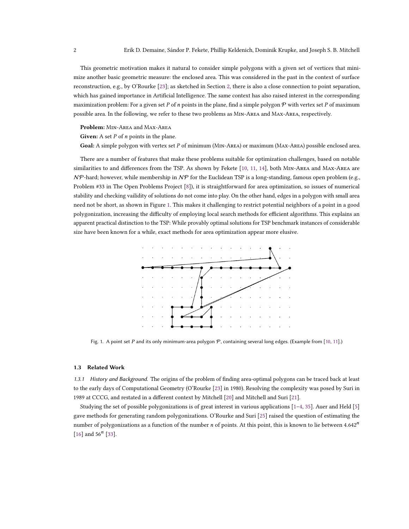This geometric motivation makes it natural to consider simple polygons with a given set of vertices that minimize another basic geometric measure: the enclosed area. This was considered in the past in the context of surface reconstruction, e.g., by O'Rourke [\[23\]](#page-10-0); as sketched in Section [2,](#page-3-0) there is also a close connection to point separation, which has gained importance in Artificial Intelligence. The same context has also raised interest in the corresponding maximization problem: For a given set P of n points in the plane, find a simple polygon  $P$  with vertex set P of maximum possible area. In the following, we refer to these two problems as Min-Area and Max-Area, respectively.

Problem: Min-Area and Max-Area

Given: A set  $P$  of  $n$  points in the plane.

Goal: A simple polygon with vertex set P of minimum (MIN-AREA) or maximum (MAX-AREA) possible enclosed area.

There are a number of features that make these problems suitable for optimization challenges, based on notable similarities to and differences from the TSP. As shown by Fekete [\[10,](#page-9-0) [11,](#page-9-1) [14\]](#page-10-1), both Min-Area and Max-Area are  $N$ P-hard; however, while membership in  $N$ P for the Euclidean TSP is a long-standing, famous open problem (e.g., Problem #33 in The Open Problems Project [\[8\]](#page-9-2)), it is straightforward for area optimization, so issues of numerical stability and checking vailidity of solutions do not come into play. On the other hand, edges in a polygon with small area need not be short, as shown in Figure [1.](#page-1-0) This makes it challenging to restrict potential neighbors of a point in a good polygonization, increasing the difficulty of employing local search methods for efficient algorithms. This explains an apparent practical distinction to the TSP: While provably optimal solutions for TSP benchmark instances of considerable size have been known for a while, exact methods for area optimization appear more elusive.

<span id="page-1-0"></span>

Fig. 1. A point set P and its only minimum-area polygon  $P$ , containing several long edges. (Example from [\[10,](#page-9-0) [11\]](#page-9-1).)

#### 1.3 Related Work

1.3.1 History and Background. The origins of the problem of finding area-optimal polygons can be traced back at least to the early days of Computational Geometry (O'Rourke [\[23\]](#page-10-0) in 1980). Resolving the complexity was posed by Suri in 1989 at CCCG, and restated in a different context by Mitchell [\[20\]](#page-10-2) and Mitchell and Suri [\[21\]](#page-10-3).

Studying the set of possible polygonizations is of great interest in various applications [\[1–](#page-9-3)[4,](#page-9-4) [35\]](#page-11-0). Auer and Held [\[5\]](#page-9-5) gave methods for generating random polygonizations. O'Rourke and Suri [\[25\]](#page-10-4) raised the question of estimating the number of polygonizations as a function of the number *n* of points. At this point, this is known to lie between  $4.642<sup>n</sup>$ [\[16\]](#page-10-5) and  $56<sup>n</sup>$  [\[33\]](#page-11-1).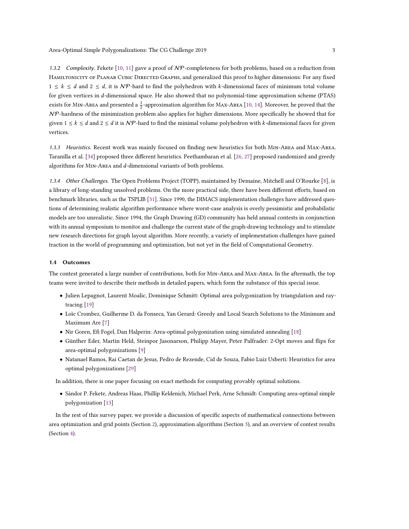1.3.2 Complexity. Fekete [\[10,](#page-9-0) [11\]](#page-9-1) gave a proof of  $N\mathcal{P}$ -completeness for both problems, based on a reduction from Hamiltonicity of Planar Cubic Directed Graphs, and generalized this proof to higher dimensions: For any fixed  $1 \leq k \leq d$  and  $2 \leq d$ , it is NP-hard to find the polyhedron with k-dimensional faces of minimum total volume for given vertices in d-dimensional space. He also showed that no polynomial-time approximation scheme (PTAS) exists for MIN-AREA and presented a  $\frac{1}{2}$ -approximation algorithm for MAX-AREA [\[10,](#page-9-0) [14\]](#page-10-1). Moreover, he proved that the  $N$ P-hardness of the minimization problem also applies for higher dimensions. More specifically he showed that for given  $1 \le k \le d$  and  $2 \le d$  it is NP-hard to find the minimal volume polyhedron with k-dimensional faces for given vertices.

1.3.3 Heuristics. Recent work was mainly focused on finding new heuristics for both Min-Area and Max-Area. Taranilla et al. [\[34\]](#page-11-2) proposed three different heuristics. Peethambaran et al. [\[26,](#page-10-6) [27\]](#page-10-7) proposed randomized and greedy algorithms for MIN-AREA and d-dimensional variants of both problems.

1.3.4 Other Challenges. The Open Problems Project (TOPP), maintained by Demaine, Mitchell and O'Rourke [\[8\]](#page-9-2), is a library of long-standing unsolved problems. On the more practical side, there have been different efforts, based on benchmark libraries, such as the TSPLIB [\[31\]](#page-11-3). Since 1990, the DIMACS implementation challenges have addressed questions of determining realistic algorithm performance where worst-case analysis is overly pessimistic and probabilistic models are too unrealistic. Since 1994, the Graph Drawing (GD) community has held annual contests in conjunction with its annual symposium to monitor and challenge the current state of the graph-drawing technology and to stimulate new research directions for graph layout algorithm. More recently, a variety of implementation challenges have gained traction in the world of programming and optimization, but not yet in the field of Computational Geometry.

### 1.4 Outcomes

The contest generated a large number of contributions, both for Min-Area and Max-Area. In the aftermath, the top teams were invited to describe their methods in detailed papers, which form the substance of this special issue.

- Julien Lepagnot, Laurent Moalic, Dominique Schmitt: Optimal area polygonization by triangulation and raytracing [\[19\]](#page-10-8)
- Loïc Crombez, Guilherme D. da Fonseca, Yan Gerard: Greedy and Local Search Solutions to the Minimum and Maximum Are [\[7\]](#page-9-6)
- Nir Goren, Efi Fogel, Dan Halperin: Area-optimal polygonization using simulated annealing [\[18\]](#page-10-9)
- Günther Eder, Martin Held, Steinpor Jasonarson, Philipp Mayer, Peter Palfrader: 2-Opt moves and flips for area-optimal polygonizations [\[9\]](#page-9-7)
- Natanael Ramos, Rai Caetan de Jesus, Pedro de Rezende, Cid de Souza, Fabio Luiz Usberti: Heuristics for area optimal polygonizations [\[29\]](#page-11-4)

In addition, there is one paper focusing on exact methods for computing provably optimal solutions.

• Sándor P. Fekete, Andreas Haas, Phillip Keldenich, Michael Perk, Arne Schmidt: Computing area-optimal simple polygonization [\[13\]](#page-10-10)

In the rest of this survey paper, we provide a discussion of specific aspects of mathematical connections between area optimization and grid points (Section [2\)](#page-3-0), approximation algorithms (Section [3\)](#page-4-0), and an overview of contest results (Section [4\)](#page-5-0).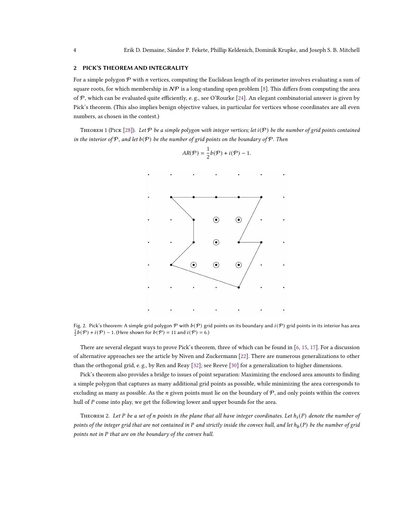## <span id="page-3-0"></span>2 PICK'S THEOREM AND INTEGRALITY

For a simple polygon  $P$  with  $n$  vertices, computing the Euclidean length of its perimeter involves evaluating a sum of square roots, for which membership in  $N\mathcal{P}$  is a long-standing open problem [\[8\]](#page-9-2). This differs from computing the area of  $P$ , which can be evaluated quite efficiently, e.g., see O'Rourke [\[24\]](#page-10-11). An elegant combinatorial answer is given by Pick's theorem. (This also implies benign objective values, in particular for vertices whose coordinates are all even numbers, as chosen in the contest.)

THEOREM 1 (PICK [\[28\]](#page-11-5)). Let  $\mathcal P$  be a simple polygon with integer vertices; let  $i(\mathcal P)$  be the number of grid points contained in the interior of  $P$ , and let  $b(P)$  be the number of grid points on the boundary of  $P$ . Then





Fig. 2. Pick's theorem: A simple grid polygon  $P$  with  $b(P)$  grid points on its boundary and  $i(P)$  grid points in its interior has area  $\frac{1}{2}b(\mathcal{P}) + i(\mathcal{P}) - 1$ . (Here shown for  $b(\mathcal{P}) = 11$  and  $i(\mathcal{P}) = 6$ .)

There are several elegant ways to prove Pick's theorem, three of which can be found in [\[6,](#page-9-8) [15,](#page-10-12) [17\]](#page-10-13). For a discussion of alternative approaches see the article by Niven and Zuckermann [\[22\]](#page-10-14). There are numerous generalizations to other than the orthogonal grid, e. g., by Ren and Reay [\[32\]](#page-11-6); see Reeve [\[30\]](#page-11-7) for a generalization to higher dimensions.

Pick's theorem also provides a bridge to issues of point separation: Maximizing the enclosed area amounts to finding a simple polygon that captures as many additional grid points as possible, while minimizing the area corresponds to excluding as many as possible. As the *n* given points must lie on the boundary of  $P$ , and only points within the convex hull of  $P$  come into play, we get the following lower and upper bounds for the area.

THEOREM 2. Let P be a set of n points in the plane that all have integer coordinates. Let  $h_i(P)$  denote the number of points of the integer grid that are not contained in P and strictly inside the convex hull, and let  $h_b(P)$  be the number of grid points not in  $P$  that are on the boundary of the convex hull.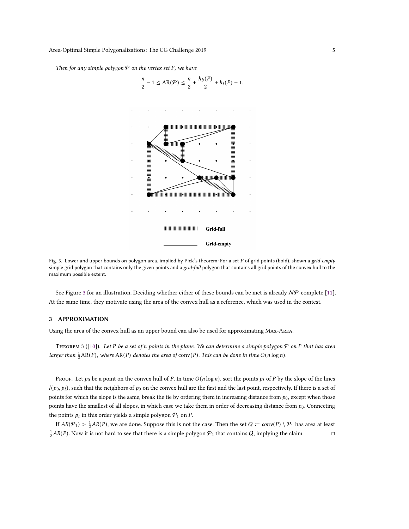<span id="page-4-1"></span>Then for any simple polygon  $P$  on the vertex set  $P$ , we have



Fig. 3. Lower and upper bounds on polygon area, implied by Pick's theorem: For a set P of grid points (bold), shown a grid-empty simple grid polygon that contains only the given points and a grid-full polygon that contains all grid points of the convex hull to the maximum possible extent.

See Figure [3](#page-4-1) for an illustration. Deciding whether either of these bounds can be met is already  $N\mathcal{P}$ -complete [\[11\]](#page-9-1). At the same time, they motivate using the area of the convex hull as a reference, which was used in the contest.

## <span id="page-4-0"></span>3 APPROXIMATION

Using the area of the convex hull as an upper bound can also be used for approximating Max-Area.

THEOREM 3 ([\[10\]](#page-9-0)). Let P be a set of n points in the plane. We can determine a simple polygon  $P$  on  $P$  that has area larger than  $\frac{1}{2}AR(P)$ , where  $AR(P)$  denotes the area of  $conv(P)$ . This can be done in time  $O(n \log n)$ .

PROOF. Let  $p_0$  be a point on the convex hull of P. In time  $O(n \log n)$ , sort the points  $p_i$  of P by the slope of the lines  $l(p_0, p_i)$ , such that the neighbors of  $p_0$  on the convex hull are the first and the last point, respectively. If there is a set of points for which the slope is the same, break the tie by ordering them in increasing distance from  $p_0$ , except when those points have the smallest of all slopes, in which case we take them in order of decreasing distance from  $p_0$ . Connecting the points  $p_i$  in this order yields a simple polygon  $P_1$  on P.

If  $AR(\mathcal{P}_1) > \frac{1}{2}AR(P)$ , we are done. Suppose this is not the case. Then the set  $Q := conv(P) \setminus \mathcal{P}_1$  has area at least  $\frac{1}{2}AR(P)$ . Now it is not hard to see that there is a simple polygon  $\mathcal{P}_2$  that contains  $Q$ , implying the claim.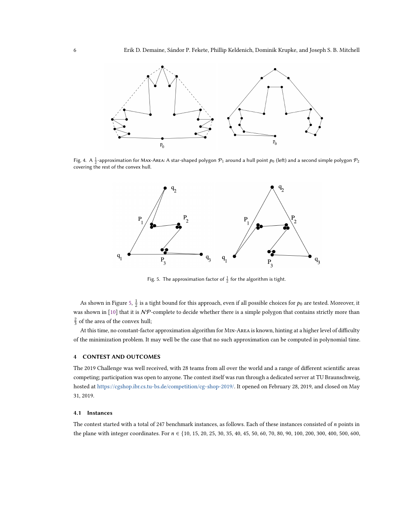

<span id="page-5-1"></span>Fig. 4. A  $\frac{1}{2}$ -approximation for MAx-Area: A star-shaped polygon  $\mathcal{P}_1$  around a hull point  $p_0$  (left) and a second simple polygon  $\mathcal{P}_2$ covering the rest of the convex hull.



Fig. 5. The approximation factor of  $\frac{1}{2}$  for the algorithm is tight.

As shown in Figure [5,](#page-5-1)  $\frac{1}{2}$  is a tight bound for this approach, even if all possible choices for  $p_0$  are tested. Moreover, it was shown in [\[10\]](#page-9-0) that it is  $N\mathcal{P}$ -complete to decide whether there is a simple polygon that contains strictly more than  $\frac{2}{3}$  of the area of the convex hull;

At this time, no constant-factor approximation algorithm for Min-Area is known, hinting at a higher level of difficulty of the minimization problem. It may well be the case that no such approximation can be computed in polynomial time.

# <span id="page-5-0"></span>4 CONTEST AND OUTCOMES

The 2019 Challenge was well received, with 28 teams from all over the world and a range of different scientific areas competing; participation was open to anyone. The contest itself was run through a dedicated server at TU Braunschweig, hosted at [https://cgshop.ibr.cs.tu-bs.de/competition/cg-shop-2019/.](https://cgshop.ibr.cs.tu-bs.de/competition/cg-shop-2019/) It opened on February 28, 2019, and closed on May 31, 2019.

### 4.1 Instances

The contest started with a total of 247 benchmark instances, as follows. Each of these instances consisted of  $n$  points in the plane with integer coordinates. For  $n \in \{10, 15, 20, 25, 30, 35, 40, 45, 50, 60, 70, 80, 90, 100, 200, 300, 400, 500, 600,$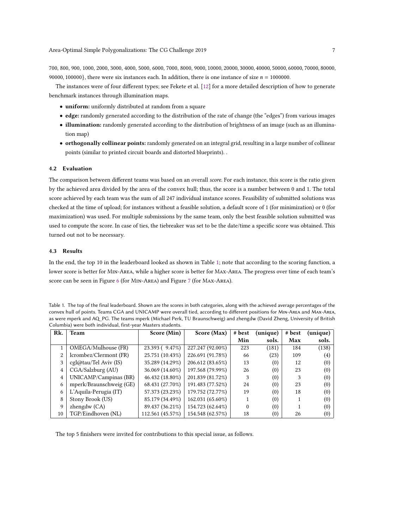700, 800, 900, 1000, 2000, 3000, 4000, 5000, 6000, 7000, 8000, 9000, 10000, 20000, 30000, 40000, 50000, 60000, 70000, 80000, 90000, 100000}, there were six instances each. In addition, there is one instance of size  $n = 1000000$ .

The instances were of four different types; see Fekete et al. [\[12\]](#page-9-9) for a more detailed description of how to generate benchmark instances through illumination maps.

- uniform: uniformly distributed at random from a square
- edge: randomly generated according to the distribution of the rate of change (the "edges") from various images
- illumination: randomly generated according to the distribution of brightness of an image (such as an illumination map)
- orthogonally collinear points: randomly generated on an integral grid, resulting in a large number of collinear points (similar to printed circuit boards and distorted blueprints). .

### 4.2 Evaluation

The comparison between different teams was based on an overall score. For each instance, this score is the ratio given by the achieved area divided by the area of the convex hull; thus, the score is a number between 0 and 1. The total score achieved by each team was the sum of all 247 individual instance scores. Feasibility of submitted solutions was checked at the time of upload; for instances without a feasible solution, a default score of 1 (for minimization) or 0 (for maximization) was used. For multiple submissions by the same team, only the best feasible solution submitted was used to compute the score. In case of ties, the tiebreaker was set to be the date/time a specific score was obtained. This turned out not to be necessary.

## 4.3 Results

In the end, the top 10 in the leaderboard looked as shown in Table [1;](#page-6-0) note that according to the scoring function, a lower score is better for Min-Area, while a higher score is better for Max-Area. The progress over time of each team's score can be seen in Figure [6](#page-7-0) (for Min-Area) and Figure [7](#page-8-0) (for Max-Area).

<span id="page-6-0"></span>

| Table 1. The top of the final leaderboard. Shown are the scores in both categories, along with the achieved average percentages of the |
|----------------------------------------------------------------------------------------------------------------------------------------|
| convex hull of points. Teams CGA and UNICAMP were overall tied, according to different positions for MIN-AREA and MAX-AREA,            |
| as were mperk and AQ PG. The teams mperk (Michael Perk, TU Braunschweig) and zhengdw (David Zheng, University of British               |
| Columbia) were both individual, first-year Masters students.                                                                           |

| Rk. | Team                                       | Score (Min)      | Score (Max)      | # best   | (unique) | # best | (unique)          |
|-----|--------------------------------------------|------------------|------------------|----------|----------|--------|-------------------|
|     |                                            |                  |                  | Min      | sols.    | Max    | sols.             |
|     | OMEGA/Mulhouse (FR)                        | $23.393(9.47\%)$ | 227.247 (92.00%) | 223      | (181)    | 184    | (138)             |
| 2   | lcrombez/Clermont (FR)                     | 25.751 (10.43%)  | 226.691 (91.78%) | 66       | (23)     | 109    | $\left( 4\right)$ |
| 3   | $\text{cgl}\omega\text{tau/Tel}$ Aviv (IS) | 35.289 (14.29%)  | 206.612 (83.65%) | 13       | (0)      | 12     | (0)               |
| 4   | CGA/Salzburg (AU)                          | 36.069 (14.60%)  | 197.568 (79.99%) | 26       | (0)      | 23     | (0)               |
| 4   | UNICAMP/Campinas (BR)                      | 46.432 (18.80%)  | 201.839 (81.72%) | 3        | (0)      | 3      | (0)               |
| 6   | mperk/Braunschweig (GE)                    | 68.431 (27.70%)  | 191.483 (77.52%) | 24       | (0)      | 23     | (0)               |
| 6   | L'Aquila-Perugia (IT)                      | 57.373 (23.23%)  | 179.752 (72.77%) | 19       | (0)      | 18     | (0)               |
| 8   | Stony Brook (US)                           | 85.179 (34.49%)  | 162.031 (65.60%) |          | (0)      |        | (0)               |
| 9   | $zhengdw$ (CA)                             | 89.437 (36.21%)  | 154.723 (62.64%) | $\theta$ | (0)      |        | (0)               |
| 10  | TGP/Eindhoven (NL)                         | 112.561 (45.57%) | 154.548 (62.57%) | 18       | (0)      | 26     | $\left(0\right)$  |

The top 5 finishers were invited for contributions to this special issue, as follows.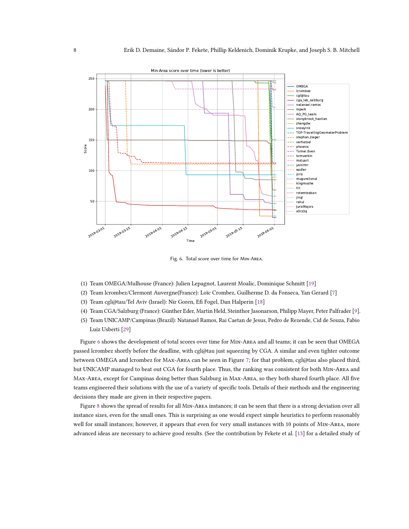<span id="page-7-0"></span>

Fig. 6. Total score over time for Min-Area.

- (1) Team OMEGA/Mulhouse (France): Julien Lepagnot, Laurent Moalic, Dominique Schmitt [\[19\]](#page-10-8)
- (2) Team lcrombez/Clermont Auvergne(France): Loïc Crombez, Guilherme D. da Fonseca, Yan Gerard [\[7\]](#page-9-6)
- (3) Team cgl@tau/Tel Aviv (Israel): Nir Goren, Efi Fogel, Dan Halperin [\[18\]](#page-10-9)
- (4) Team CGA/Salzburg (France): Günther Eder, Martin Held, Steinthor Jasonarson, Philipp Mayer, Peter Palfrader [\[9\]](#page-9-7).
- (5) Team UNICAMP/Campinas (Brazil): Natanael Ramos, Rai Caetan de Jesus, Pedro de Rezende, Cid de Souza, Fabio Luiz Usberti [\[29\]](#page-11-4)

Figure [6](#page-7-0) shows the development of total scores over time for Min-Area and all teams; it can be seen that OMEGA passed lcrombez shortly before the deadline, with cgl@tau just squeezing by CGA. A similar and even tighter outcome between OMEGA and lcrombez for Max-Area can be seen in Figure [7;](#page-8-0) for that problem, cgl@tau also placed third, but UNICAMP managed to beat out CGA for fourth place. Thus, the ranking was consistent for both Min-Area and Max-Area, except for Campinas doing better than Salzburg in Max-Area, so they both shared fourth place. All five teams engineered their solutions with the use of a variety of specific tools. Details of their methods and the engineering decisions they made are given in their respective papers.

Figure [8](#page-9-10) shows the spread of results for all Min-Area instances; it can be seen that there is a strong deviation over all instance sizes, even for the small ones. This is surprising as one would expect simple heuristics to perform reasonably well for small instances; however, it appears that even for very small instances with 10 points of Min-Area, more advanced ideas are necessary to achieve good results. (See the contribution by Fekete et al. [\[13\]](#page-10-10) for a detailed study of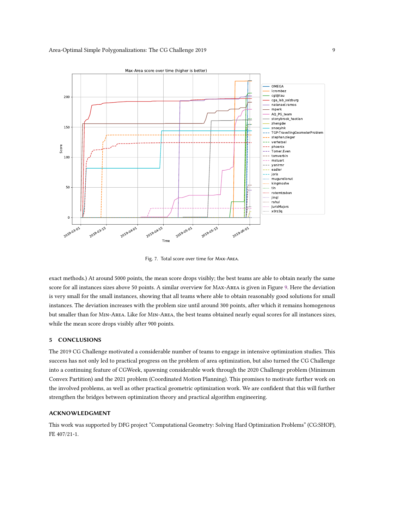<span id="page-8-0"></span>

Fig. 7. Total score over time for Max-Area.

exact methods.) At around 5000 points, the mean score drops visibly; the best teams are able to obtain nearly the same score for all instances sizes above 50 points. A similar overview for Max-Area is given in Figure [9.](#page-10-15) Here the deviation is very small for the small instances, showing that all teams where able to obtain reasonably good solutions for small instances. The deviation increases with the problem size until around 300 points, after which it remains homogenous but smaller than for Min-Area. Like for Min-Area, the best teams obtained nearly equal scores for all instances sizes, while the mean score drops visibly after 900 points.

### 5 CONCLUSIONS

The 2019 CG Challenge motivated a considerable number of teams to engage in intensive optimization studies. This success has not only led to practical progress on the problem of area optimization, but also turned the CG Challenge into a continuing feature of CGWeek, spawning considerable work through the 2020 Challenge problem (Minimum Convex Partition) and the 2021 problem (Coordinated Motion Planning). This promises to motivate further work on the involved problems, as well as other practical geometric optimization work. We are confident that this will further strengthen the bridges between optimization theory and practical algorithm engineering.

# ACKNOWLEDGMENT

This work was supported by DFG project "Computational Geometry: Solving Hard Optimization Problems" (CG:SHOP), FE 407/21-1.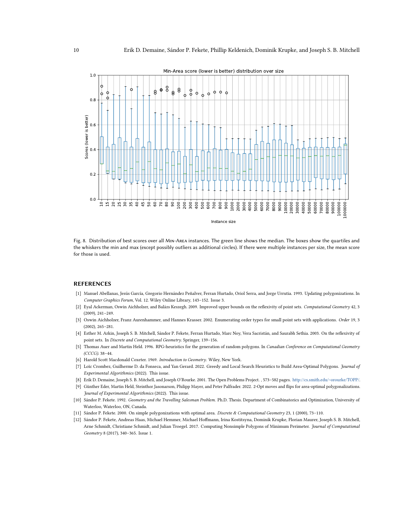<span id="page-9-10"></span>

Fig. 8. Distribution of best scores over all Min-Area instances. The green line shows the median. The boxes show the quartiles and the whiskers the min and max (except possibly outliers as additional circles). If there were multiple instances per size, the mean score for those is used.

### REFERENCES

- <span id="page-9-3"></span>[1] Manuel Abellanas, Jesús García, Gregorio Hernández Peñalver, Ferran Hurtado, Oriol Serra, and Jorge Urrutia. 1993. Updating polygonizations. In Computer Graphics Forum, Vol. 12. Wiley Online Library, 143–152. Issue 3.
- [2] Eyal Ackerman, Oswin Aichholzer, and Balázs Keszegh. 2009. Improved upper bounds on the reflexivity of point sets. Computational Geometry 42, 3 (2009), 241–249.
- [3] Oswin Aichholzer, Franz Aurenhammer, and Hannes Krasser. 2002. Enumerating order types for small point sets with applications. Order 19, 3 (2002), 265–281.
- <span id="page-9-4"></span>[4] Esther M. Arkin, Joseph S. B. Mitchell, Sándor P. Fekete, Ferran Hurtado, Marc Noy, Vera Sacristán, and Saurabh Sethia. 2003. On the reflexivity of point sets. In Discrete and Computational Geometry. Springer, 139–156.
- <span id="page-9-5"></span>[5] Thomas Auer and Martin Held. 1996. RPG-heuristics for the generation of random polygons. In Canadian Conference on Computational Geometry (CCCG). 38–44.
- <span id="page-9-8"></span>[6] Harold Scott Macdonald Coxeter. 1969. Introduction to Geometry. Wiley, New York.
- <span id="page-9-6"></span>[7] Loïc Crombez, Guilherme D. da Fonseca, and Yan Gerard. 2022. Greedy and Local Search Heuristics to Build Area-Optimal Polygons. Journal of Experimental Algorithmics (2022). This issue.
- <span id="page-9-2"></span>[8] Erik D. Demaine, Joseph S. B. Mitchell, and Joseph O'Rourke. 2001. The Open Problems Project. , 573–582 pages. [http://cs.smith.edu/~orourke/TOPP/.](http://cs.smith.edu/~orourke/TOPP/)
- <span id="page-9-7"></span>[9] Günther Eder, Martin Held, Steinthor Jasonarson, Philipp Mayer, and Peter Palfrader. 2022. 2-Opt moves and flips for area-optimal polygonalizations. Journal of Experimental Algorithmics (2022). This issue.
- <span id="page-9-0"></span>[10] Sándor P. Fekete. 1992. Geometry and the Travelling Salesman Problem. Ph.D. Thesis. Department of Combinatorics and Optimization, University of Waterloo, Waterloo, ON, Canada.
- <span id="page-9-1"></span>[11] Sándor P. Fekete. 2000. On simple polygonizations with optimal area. Discrete & Computational Geometry 23, 1 (2000), 73–110.
- <span id="page-9-9"></span>[12] Sándor P. Fekete, Andreas Haas, Michael Hemmer, Michael Hoffmann, Irina Kostitsyna, Dominik Krupke, Florian Maurer, Joseph S. B. Mitchell, Arne Schmidt, Christiane Schmidt, and Julian Troegel. 2017. Computing Nonsimple Polygons of Minimum Perimeter. Journal of Computational Geometry 8 (2017), 340–365. Issue 1.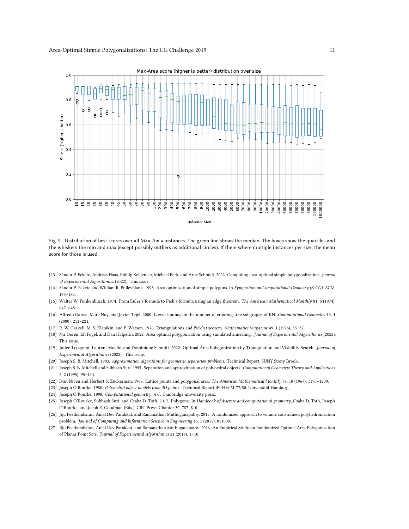<span id="page-10-15"></span>

Fig. 9. Distribution of best scores over all Max-Area instances. The green line shows the median. The boxes show the quartiles and the whiskers the min and max (except possibly outliers as additional circles). If there where multiple instances per size, the mean score for those is used.

- <span id="page-10-10"></span>[13] Sándor P. Fekete, Andreas Haas, Phillip Keldenich, Michael Perk, and Arne Schmidt. 2022. Computing area-optimal simple polygonalization. Journal of Experimental Algorithmics (2022). This issue.
- <span id="page-10-1"></span>[14] Sándor P. Fekete and William R. Pulleyblank. 1993. Area optimization of simple polygons. In Symposium on Computational Geometry (SoCG). ACM, 173–182.
- <span id="page-10-12"></span>[15] Walter W. Funkenbusch. 1974. From Euler's formula to Pick's formula using an edge theorem. The American Mathematical Monthly 81, 6 (1974), 647–648.
- <span id="page-10-5"></span>[16] Alfredo Garcıa, Marc Noy, and Javier Tejel. 2000. Lower bounds on the number of crossing-free subgraphs of KN. Computational Geometry 16, 4 (2000), 211–221.
- <span id="page-10-13"></span>[17] R. W. Gaskell, M. S. Klamkin, and P. Watson. 1976. Triangulations and Pick's theorem. Mathematics Magazine 49, 1 (1976), 35–37.
- <span id="page-10-9"></span>[18] Nir Goren, Efi Fogel, and Dan Halperin. 2022. Area optimal polygonization using simulated annealing. Journal of Experimental Algorithmics (2022). This issue.
- <span id="page-10-8"></span>[19] Julien Lepagnot, Laurent Moalic, and Dominique Schmitt. 2022. Optimal Area Polygonization by Triangulation and Visibility Search. Journal of Experimental Algorithmics (2022). This issue.
- <span id="page-10-2"></span>[20] Joseph S. B. Mitchell. 1993. Approximation algorithms for geometric separation problems. Technical Report. SUNY Stony Brook.
- <span id="page-10-3"></span>[21] Joseph S. B. Mitchell and Subhash Suri. 1995. Separation and approximation of polyhedral objects. Computational Geometry: Theory and Applications 5, 2 (1995), 95–114.
- <span id="page-10-14"></span>[22] Ivan Niven and Herbert S. Zuckerman. 1967. Lattice points and polygonal area. The American Mathematical Monthly 74, 10 (1967), 1195–1200.
- <span id="page-10-0"></span>[23] Joseph O'Rourke. 1980. Polyhedral object models from 3D points. Technical Report IFI-HH-M-77/80. Universität Hamburg.
- <span id="page-10-11"></span>[24] Joseph O'Rourke. 1998. Computational geometry in C. Cambridge university press.
- <span id="page-10-4"></span>[25] Joseph O'Rourke, Subhash Suri, and Csaba D. Tóth. 2017. Polygons. In Handbook of discrete and computational geometry, Csaba D. Toth, Joseph O'Rourke, and Jacob E. Goodman (Eds.). CRC Press, Chapter 30, 787–810.
- <span id="page-10-6"></span>[26] Jiju Peethambaran, Amal Dev Parakkat, and Ramanathan Muthuganapathy. 2015. A randomized approach to volume constrained polyhedronization problem. Journal of Computing and Information Science in Engineering 15, 1 (2015), 011009.
- <span id="page-10-7"></span>[27] Jiju Peethambaran, Amal Dev Parakkat, and Ramanathan Muthuganapathy. 2016. An Empirical Study on Randomized Optimal Area Polygonization of Planar Point Sets. Journal of Experimental Algorithmics 21 (2016), 1–10.